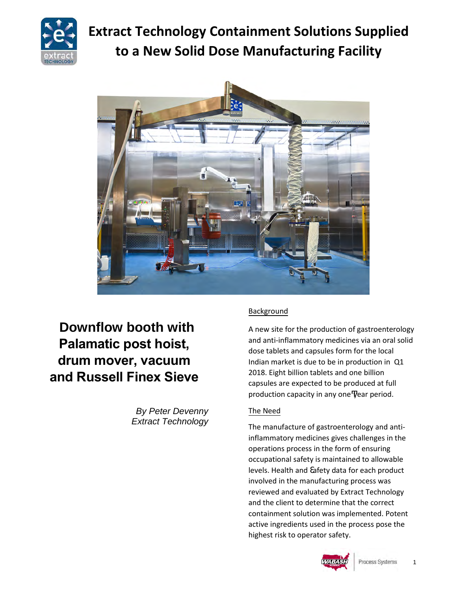

# **Extract Technology Containment Solutions Supplied to a New Solid Dose Manufacturing Facility**



## **Downflow booth with Palamatic post hoist, drum mover, vacuum and Russell Finex Sieve**

*By Peter Devenny Extract Technology*

## **Background**

A new site for the production of gastroenterology and anti-inflammatory medicines via an oral solid dose tablets and capsules form for the local Indian market is due to be in production in Q1 2018. Eight billion tablets and one billion capsules are expected to be produced at full production capacity in any one year period.

## The Need

The manufacture of gastroenterology and antiinflammatory medicines gives challenges in the operations process in the form of ensuring occupational safety is maintained to allowable levels. Health and afety data for each product involved in the manufacturing process was reviewed and evaluated by Extract Technology and the client to determine that the correct containment solution was implemented. Potent active ingredients used in the process pose the highest risk to operator safety.

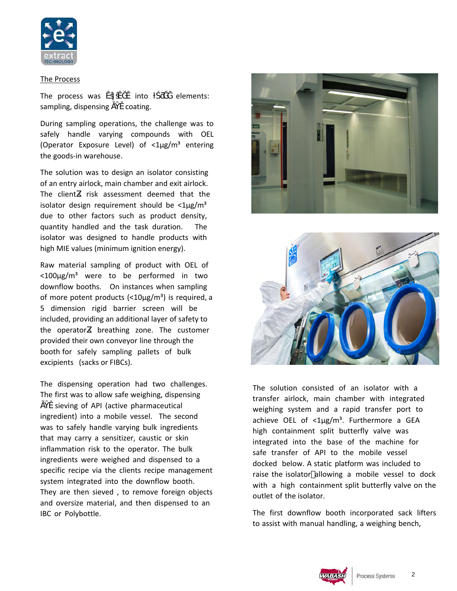

#### The Process

the goods-in warehouse.

The process was into elements: sampling, dispensing coating.

During sampling operations, the challenge was to safely handle varying compounds with OEL (Operator Exposure Level) of  $\langle 1 \mu g/m^3$  entering

The solution was to design an isolator consisting of an entry airlock, main chamber and exit airlock. The client s risk assessment deemed that the isolator design requirement should be  $\langle 1 \mu g/m^3 \rangle$ due to other factors such as product density, quantity handled and the task duration. The isolator was designed to handle products with high MIE values (minimum ignition energy).

Raw material sampling of product with OEL of  $<$ 100 $\mu$ g/m<sup>3</sup> were to be performed in two downflow booths. On instances when sampling of more potent products  $\left\langle \frac{10 \mu g}{m^3} \right\rangle$  is required, a 5 dimension rigid barrier screen will be included, providing an additional layer of safety to the operator s breathing zone. The customer provided their own conveyor line through the booth for safely sampling pallets of bulk excipients (sacks or FIBCs).

The dispensing operation had two challenges. The first was to allow safe weighing, dispensing

sieving of API (active pharmaceutical ingredient) into a mobile vessel. The second was to safely handle varying bulk ingredients that may carry a sensitizer, caustic or skin inflammation risk to the operator. The bulk ingredients were weighed and dispensed to a specific recipe via the clients recipe management system integrated into the downflow booth. They are then sieved , to remove foreign objects and oversize material, and then dispensed to an IBC or Polybottle.





The solution consisted of an isolator with a transfer airlock, main chamber with integrated weighing system and a rapid transfer port to achieve OEL of  $\langle 1 \mu g/m^3 \rangle$ . Furthermore a GEA high containment split butterfly valve was integrated into the base of the machine for safe transfer of API to the mobile vessel docked below. A static platform was included to raise the isolator allowing a mobile vessel to dock with a high containment split butterfly valve on the outlet of the isolator.

The first downflow booth incorporated sack lifters to assist with manual handling, a weighing bench,

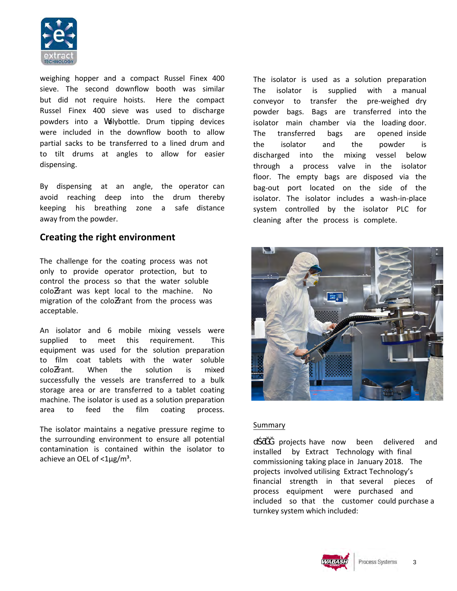

weighing hopper and a compact Russel Finex 400 sieve. The second downflow booth was similar but did not require hoists. Here the compact Russel Finex 400 sieve was used to discharge powders into a holybottle. Drum tipping devices were included in the downflow booth to allow partial sacks to be transferred to a lined drum and to tilt drums at angles to allow for easier dispensing.

By dispensing at an angle, the operator can avoid reaching deep into the drum thereby keeping his breathing zone a safe distance away from the powder.

## **Creating the right environment**

The challenge for the coating process was not only to provide operator protection, but to control the process so that the water soluble colo rant was kept local to the machine. No migration of the colo rant from the process was acceptable.

An isolator and 6 mobile mixing vessels were supplied to meet this requirement. This equipment was used for the solution preparation to film coat tablets with the water soluble colo rant. When the solution is mixed successfully the vessels are transferred to a bulk storage area or are transferred to a tablet coating machine. The isolator is used as a solution preparation area to feed the film coating process.

The isolator maintains a negative pressure regime to the surrounding environment to ensure all potential contamination is contained within the isolator to achieve an OEL of  $\langle 1 \mu g/m^3 \rangle$ .

The isolator is used as a solution preparation The isolator is supplied with a manual conveyor to transfer the pre-weighed dry powder bags. Bags are transferred into the isolator main chamber via the loading door. The transferred bags are opened inside the isolator and the powder is discharged into the mixing vessel below through a process valve in the isolator floor. The empty bags are disposed via the bag-out port located on the side of the isolator. The isolator includes a wash-in-place system controlled by the isolator PLC for cleaning after the process is complete.



#### Summary

u projects have now been delivered and installed by Extract Technology with final commissioning taking place in January 2018. The projects involved utilising Extract Technology's financial strength in that several pieces of process equipment were purchased and included so that the customer could purchase a turnkey system which included:

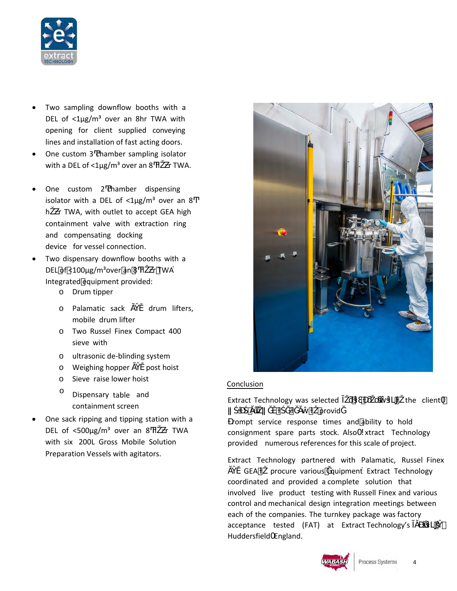

- Two sampling downflow booths with a DEL of  $\langle 1 \mu g/m^3$  over an 8hr TWA with opening for client supplied conveying lines and installation of fast acting doors.
- One custom 3 chamber sampling isolator with a DEL of  $<$ 1 $\mu$ g/m<sup>3</sup> over an 8 h r TWA.
- One custom 2 chamber dispensing isolator with a DEL of  $<$ 1µg/m<sup>3</sup> over an 8 h r TWA, with outlet to accept GEA high containment valve with extraction ring and compensating docking device for vessel connection.
- Two dispensary downflow booths with a DEL of <100 $\mu$ g/m<sup>3</sup>over an 8 h r TWA Integrated equipment provided:
	- o Drum tipper
	- o Palamatic sack drum lifters, mobile drum lifter
	- o Two Russel Finex Compact 400 sieve with
	- o ultrasonic de-blinding system
	- o Weighing hopper post hoist
	- o Sieve raise lower hoist
	- <sup>O</sup> Dispensary table and containment screen
- One sack ripping and tipping station with a DEL of  $\lt$ 500µg/m<sup>3</sup> over an 8 h r TWA with six 200L Gross Mobile Solution Preparation Vessels with agitators.



#### Conclusion

Extract Technology was selected in the client provid rompt service response times and ability to hold consignment spare parts stock. Also - xtract Technology provided numerous references for this scale of project.

Extract Technology partnered with Palamatic, Russel Finex GEA procure various quipment Extract Technology coordinated and provided a complete solution that involved live product testing with Russell Finex and various control and mechanical design integration meetings between each of the companies. The turnkey package was factory acceptance tested (FAT) at Extract Technology's Huddersfield England.